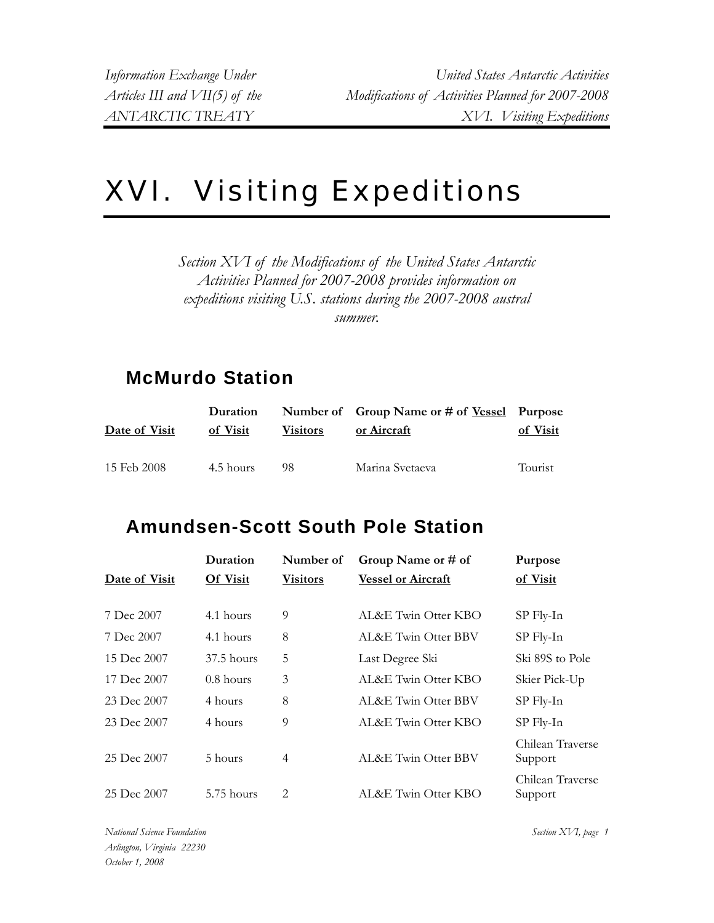## XVI. Visiting Expeditions

*Section XVI of the Modifications of the United States Antarctic Activities Planned for 2007-2008 provides information on expeditions visiting U.S. stations during the 2007-2008 austral summer.* 

## **McMurdo Station**

| Date of Visit | Duration<br>of Visit | <b>Visitors</b> | Number of Group Name or # of <u>Vessel</u> Purpose<br>or Aircraft | of Visit |
|---------------|----------------------|-----------------|-------------------------------------------------------------------|----------|
| 15 Feb 2008   | 4.5 hours            | 98              | Marina Svetaeva                                                   | Tourist  |

## **Amundsen-Scott South Pole Station**

|               | Duration     | Number of       | Group Name or # of        | Purpose                     |
|---------------|--------------|-----------------|---------------------------|-----------------------------|
| Date of Visit | Of Visit     | <b>Visitors</b> | <b>Vessel or Aircraft</b> | of Visit                    |
|               |              |                 |                           |                             |
| 7 Dec 2007    | 4.1 hours    | 9               | AL&E Twin Otter KBO       | $SP$ Fly-In                 |
| 7 Dec 2007    | 4.1 hours    | 8               | AL&E Twin Otter BBV       | $SP$ Fly-In                 |
| 15 Dec 2007   | $37.5$ hours | 5               | Last Degree Ski           | Ski 89S to Pole             |
| 17 Dec 2007   | $0.8$ hours  | 3               | AL&E Twin Otter KBO       | Skier Pick-Up               |
| 23 Dec 2007   | 4 hours      | 8               | AL&E Twin Otter BBV       | $SP$ Fly-In                 |
| 23 Dec 2007   | 4 hours      | 9               | AL&E Twin Otter KBO       | $SP$ Fly-In                 |
| 25 Dec 2007   | 5 hours      | 4               | AL&E Twin Otter BBV       | Chilean Traverse<br>Support |
| 25 Dec 2007   | 5.75 hours   | 2               | AL&E Twin Otter KBO       | Chilean Traverse<br>Support |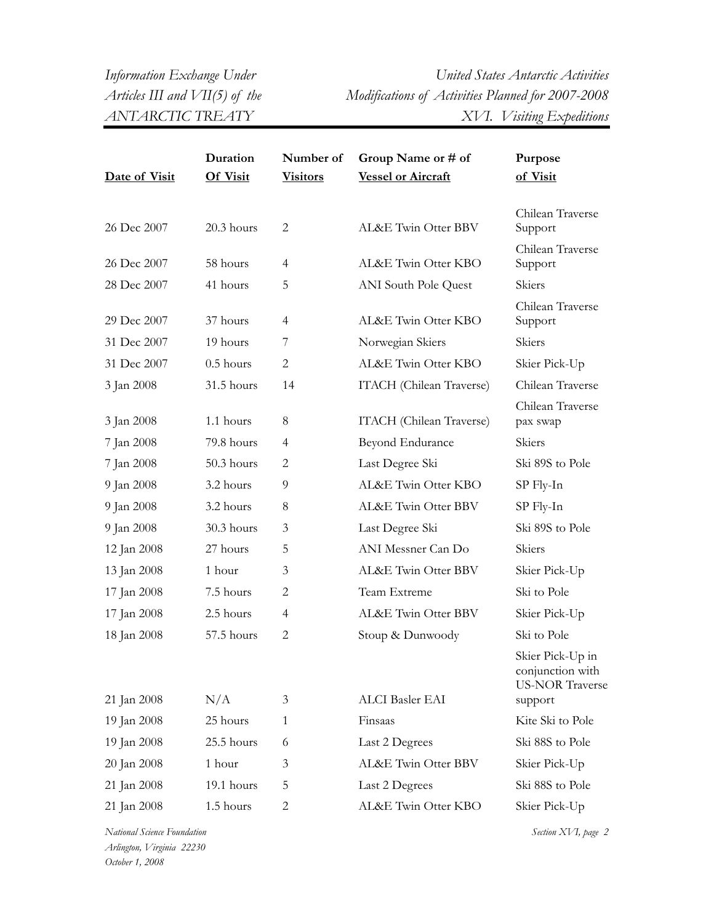*Information Exchange Under United States Antarctic Activities Articles III and VII(5) of the Modifications of Activities Planned for 2007-2008 ANTARCTIC TREATY XVI. Visiting Expeditions* 

|               | Duration    | Number of       | Group Name or # of          | Purpose                                                        |
|---------------|-------------|-----------------|-----------------------------|----------------------------------------------------------------|
| Date of Visit | Of Visit    | <b>Visitors</b> | <b>Vessel or Aircraft</b>   | of Visit                                                       |
| 26 Dec 2007   | 20.3 hours  | 2               | AL&E Twin Otter BBV         | Chilean Traverse<br>Support                                    |
| 26 Dec 2007   | 58 hours    | 4               | AL&E Twin Otter KBO         | Chilean Traverse<br>Support                                    |
| 28 Dec 2007   | 41 hours    | 5               | <b>ANI</b> South Pole Quest | Skiers                                                         |
| 29 Dec 2007   | 37 hours    | 4               | AL&E Twin Otter KBO         | Chilean Traverse<br>Support                                    |
| 31 Dec 2007   | 19 hours    | 7               | Norwegian Skiers            | Skiers                                                         |
| 31 Dec 2007   | $0.5$ hours | 2               | AL&E Twin Otter KBO         | Skier Pick-Up                                                  |
| 3 Jan 2008    | 31.5 hours  | 14              | ITACH (Chilean Traverse)    | Chilean Traverse                                               |
| 3 Jan 2008    | 1.1 hours   | 8               | ITACH (Chilean Traverse)    | Chilean Traverse<br>pax swap                                   |
| 7 Jan 2008    | 79.8 hours  | 4               | Beyond Endurance            | Skiers                                                         |
| 7 Jan 2008    | 50.3 hours  | 2               | Last Degree Ski             | Ski 89S to Pole                                                |
| 9 Jan 2008    | 3.2 hours   | 9               | AL&E Twin Otter KBO         | SP Fly-In                                                      |
| 9 Jan 2008    | 3.2 hours   | 8               | AL&E Twin Otter BBV         | SP Fly-In                                                      |
| 9 Jan 2008    | 30.3 hours  | 3               | Last Degree Ski             | Ski 89S to Pole                                                |
| 12 Jan 2008   | 27 hours    | 5               | ANI Messner Can Do          | Skiers                                                         |
| 13 Jan 2008   | 1 hour      | 3               | AL&E Twin Otter BBV         | Skier Pick-Up                                                  |
| 17 Jan 2008   | 7.5 hours   | 2               | Team Extreme                | Ski to Pole                                                    |
| 17 Jan 2008   | 2.5 hours   | $\overline{4}$  | AL&E Twin Otter BBV         | Skier Pick-Up                                                  |
| 18 Jan 2008   | 57.5 hours  | $\mathbf{2}$    | Stoup & Dunwoody            | Ski to Pole                                                    |
|               |             |                 |                             | Skier Pick-Up in<br>conjunction with<br><b>US-NOR Traverse</b> |
| 21 Jan 2008   | N/A         | 3               | ALCI Basler EAI             | support                                                        |
| 19 Jan 2008   | 25 hours    | $\mathbf{1}$    | Finsaas                     | Kite Ski to Pole                                               |
| 19 Jan 2008   | 25.5 hours  | 6               | Last 2 Degrees              | Ski 88S to Pole                                                |
| 20 Jan 2008   | 1 hour      | 3               | AL&E Twin Otter BBV         | Skier Pick-Up                                                  |
| 21 Jan 2008   | 19.1 hours  | 5               | Last 2 Degrees              | Ski 88S to Pole                                                |
| 21 Jan 2008   | 1.5 hours   | $\overline{c}$  | AL&E Twin Otter KBO         | Skier Pick-Up                                                  |

*National Science Foundation* Section XVI, page 2 *Arlington, Virginia 22230 October 1, 2008*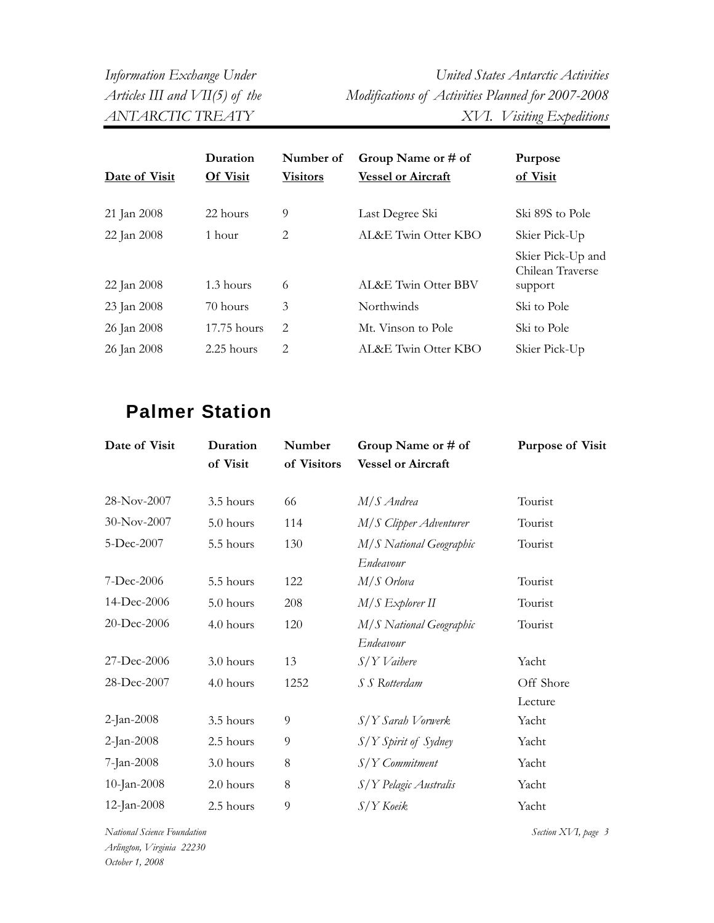*Information Exchange Under United States Antarctic Activities Articles III and VII(5) of the Modifications of Activities Planned for 2007-2008 ANTARCTIC TREATY XVI. Visiting Expeditions* 

| Date of Visit | Duration<br>Of Visit | Number of<br><b>Visitors</b>  | Group Name or # of<br><b>Vessel or Aircraft</b> | Purpose<br>of Visit                              |
|---------------|----------------------|-------------------------------|-------------------------------------------------|--------------------------------------------------|
| 21 Jan 2008   | 22 hours             | 9                             | Last Degree Ski                                 | Ski 89S to Pole                                  |
| 22 Jan 2008   | 1 hour               | 2                             | AL&E Twin Otter KBO                             | Skier Pick-Up                                    |
| 22 Jan 2008   | 1.3 hours            | 6                             | AL&E Twin Otter BBV                             | Skier Pick-Up and<br>Chilean Traverse<br>support |
| 23 Jan 2008   | 70 hours             | 3                             | Northwinds                                      | Ski to Pole                                      |
| 26 Jan 2008   | $17.75$ hours        | 2                             | Mt. Vinson to Pole                              | Ski to Pole                                      |
| 26 Jan 2008   | $2.25$ hours         | $\mathfrak{D}_{\mathfrak{p}}$ | AL&E Twin Otter KBO                             | Skier Pick-Up                                    |

## **Palmer Station**

| Date of Visit | Duration<br>of Visit | Number<br>of Visitors | Group Name or # of<br><b>Vessel or Aircraft</b> | <b>Purpose of Visit</b> |
|---------------|----------------------|-----------------------|-------------------------------------------------|-------------------------|
| 28-Nov-2007   | 3.5 hours            | 66                    | M/S Andrea                                      | Tourist                 |
| 30-Nov-2007   | 5.0 hours            | 114                   | M/S Clipper Adventurer                          | Tourist                 |
| 5-Dec-2007    | 5.5 hours            | 130                   | M/S National Geographic<br>Endeavour            | Tourist                 |
| 7-Dec-2006    | 5.5 hours            | 122                   | $M/S$ Orlova                                    | Tourist                 |
| 14-Dec-2006   | 5.0 hours            | 208                   | $M/S$ Explorer II                               | Tourist                 |
| 20-Dec-2006   | 4.0 hours            | 120                   | M/S National Geographic<br>Endeavour            | Tourist                 |
| 27-Dec-2006   | 3.0 hours            | 13                    | S/Y Vaihere                                     | Yacht                   |
| 28-Dec-2007   | 4.0 hours            | 1252                  | S S Rotterdam                                   | Off Shore<br>Lecture    |
| 2-Jan-2008    | 3.5 hours            | 9                     | $S/Y$ Sarah Vorwerk                             | Yacht                   |
| 2-Jan-2008    | 2.5 hours            | $\overline{9}$        | S/Y Spirit of Sydney                            | Yacht                   |
| 7-Jan-2008    | 3.0 hours            | 8                     | $S/Y$ Commitment                                | Yacht                   |
| 10-Jan-2008   | 2.0 hours            | $8\,$                 | S/Y Pelagic Australis                           | Yacht                   |
| 12-Jan-2008   | 2.5 hours            | 9                     | S/Y Koeik                                       | Yacht                   |

*National Science Foundation Section XVI, page 3 Arlington, Virginia 22230 October 1, 2008*